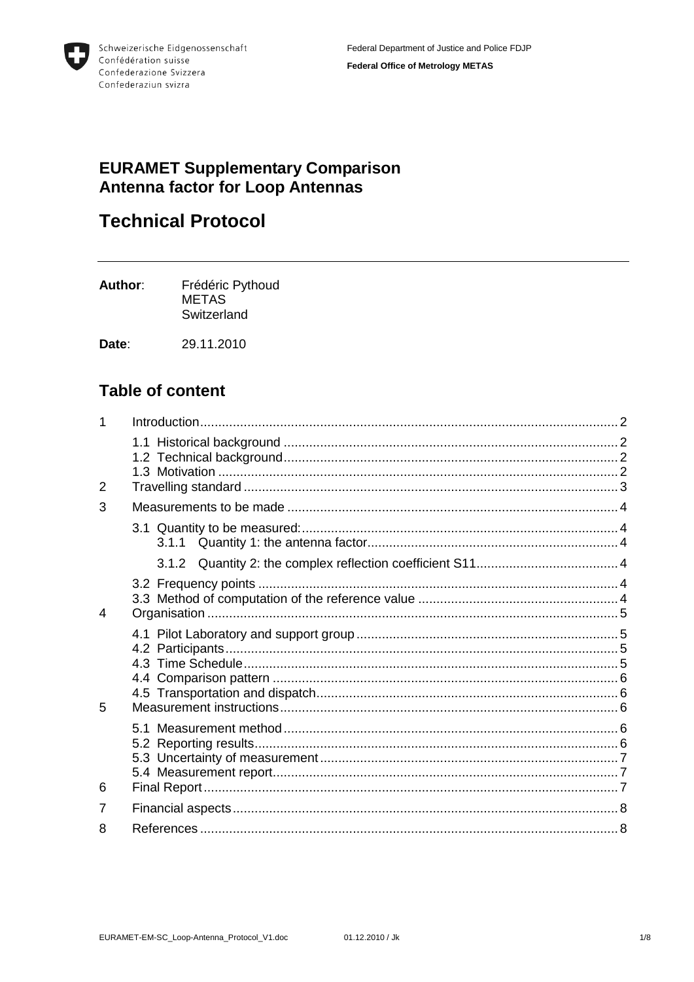

# **EURAMET Supplementary Comparison** Antenna factor for Loop Antennas

# **Technical Protocol**

Author: Frédéric Pythoud **METAS** Switzerland

Date: 29.11.2010

## **Table of content**

| 2 |  |
|---|--|
| 3 |  |
|   |  |
|   |  |
|   |  |
|   |  |
|   |  |
| 4 |  |
|   |  |
|   |  |
|   |  |
|   |  |
|   |  |
| 5 |  |
|   |  |
|   |  |
|   |  |
|   |  |
| 6 |  |
| 7 |  |
| 8 |  |
|   |  |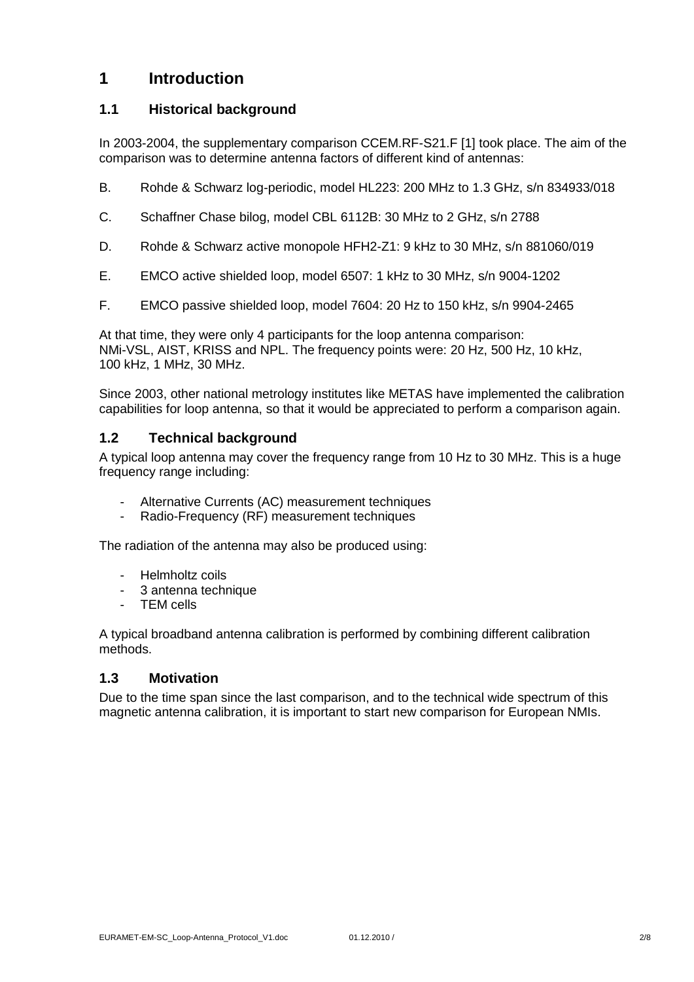## <span id="page-1-0"></span>**1 Introduction**

#### <span id="page-1-1"></span>**1.1 Historical background**

In 2003-2004, the supplementary comparison CCEM.RF-S21.F [1] took place. The aim of the comparison was to determine antenna factors of different kind of antennas:

- B. Rohde & Schwarz log-periodic, model HL223: 200 MHz to 1.3 GHz, s/n 834933/018
- C. Schaffner Chase bilog, model CBL 6112B: 30 MHz to 2 GHz, s/n 2788
- D. Rohde & Schwarz active monopole HFH2-Z1: 9 kHz to 30 MHz, s/n 881060/019
- E. EMCO active shielded loop, model 6507: 1 kHz to 30 MHz, s/n 9004-1202
- F. EMCO passive shielded loop, model 7604: 20 Hz to 150 kHz, s/n 9904-2465

At that time, they were only 4 participants for the loop antenna comparison: NMi-VSL, AIST, KRISS and NPL. The frequency points were: 20 Hz, 500 Hz, 10 kHz, 100 kHz, 1 MHz, 30 MHz.

Since 2003, other national metrology institutes like METAS have implemented the calibration capabilities for loop antenna, so that it would be appreciated to perform a comparison again.

#### <span id="page-1-2"></span>**1.2 Technical background**

A typical loop antenna may cover the frequency range from 10 Hz to 30 MHz. This is a huge frequency range including:

- Alternative Currents (AC) measurement techniques
- Radio-Frequency (RF) measurement techniques

The radiation of the antenna may also be produced using:

- Helmholtz coils
- 3 antenna technique
- TEM cells

A typical broadband antenna calibration is performed by combining different calibration methods.

#### <span id="page-1-3"></span>**1.3 Motivation**

Due to the time span since the last comparison, and to the technical wide spectrum of this magnetic antenna calibration, it is important to start new comparison for European NMIs.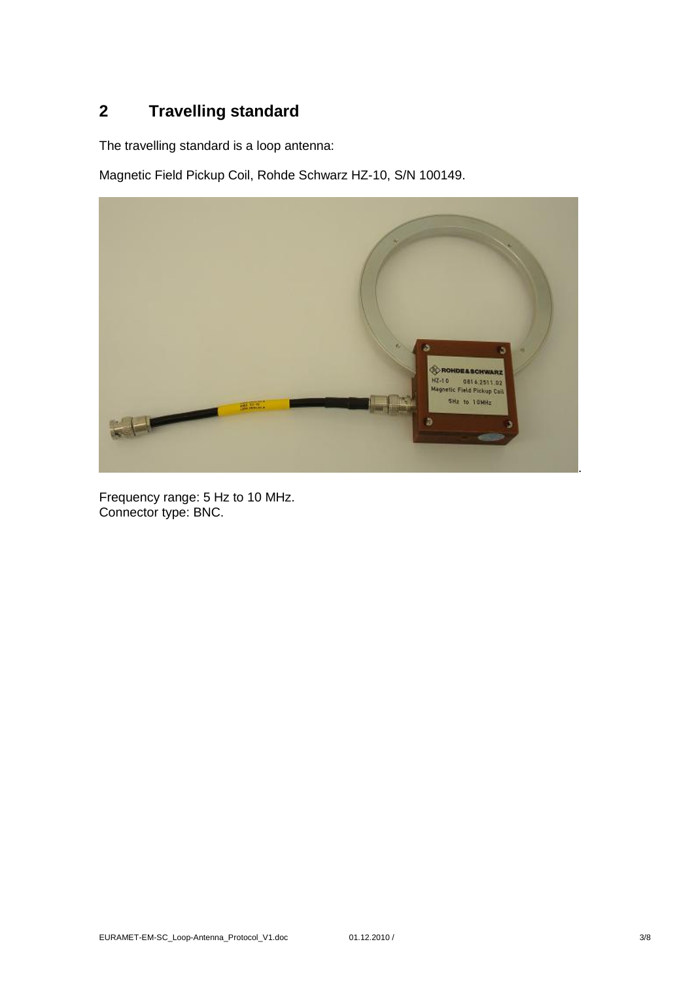# <span id="page-2-0"></span>**2 Travelling standard**

The travelling standard is a loop antenna:

Magnetic Field Pickup Coil, Rohde Schwarz HZ-10, S/N 100149.



Frequency range: 5 Hz to 10 MHz. Connector type: BNC.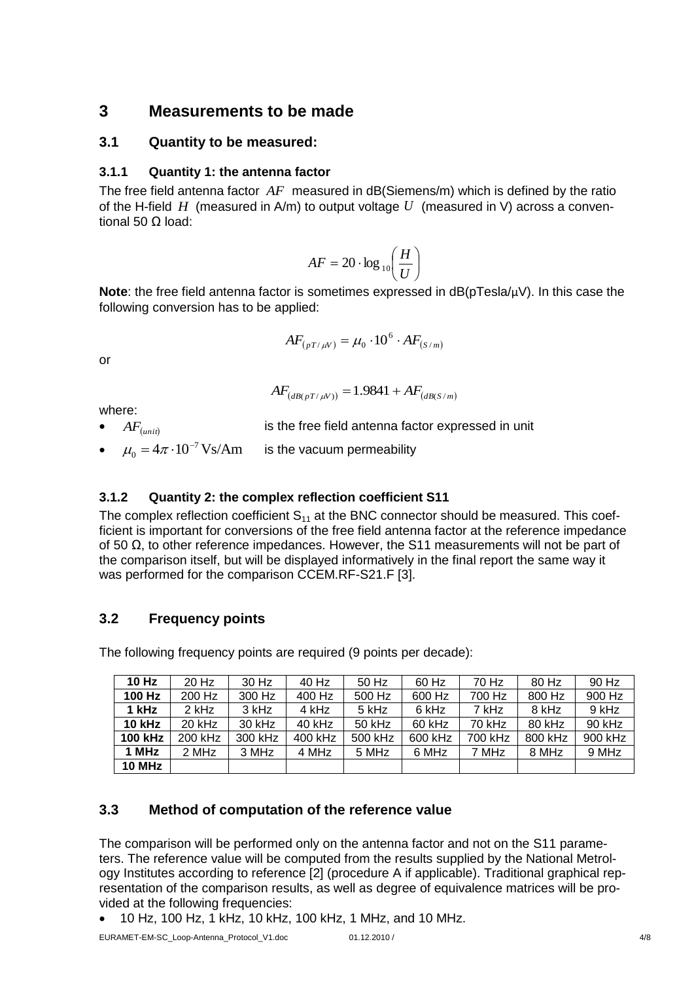## <span id="page-3-0"></span>**3 Measurements to be made**

#### <span id="page-3-1"></span>**3.1 Quantity to be measured:**

#### <span id="page-3-2"></span>**3.1.1 Quantity 1: the antenna factor**

The free field antenna factor AF measured in dB(Siemens/m) which is defined by the ratio of the H-field  $H$  (measured in A/m) to output voltage  $U$  (measured in V) across a conventional 50 Ω load:

$$
AF = 20 \cdot \log_{10} \left( \frac{H}{U} \right)
$$

**Note**: the free field antenna factor is sometimes expressed in dB(pTesla/µV). In this case the following conversion has to be applied:

$$
AF_{(pT/\mu V)} = \mu_0 \cdot 10^6 \cdot AF_{(S/m)}
$$

or

$$
AF_{(dB(pT/\mu V))} = 1.9841 + AF_{(dB(S/m))}
$$

where:

 $AF_{(unit)}$ is the free field antenna factor expressed in unit •  $\mu_0 = 4\pi \cdot 10^{-7} \text{Vs/Am}$  $\mu_0 = 4\pi \cdot 10^{-7}$ is the vacuum permeability

#### <span id="page-3-3"></span>**3.1.2 Quantity 2: the complex reflection coefficient S11**

The complex reflection coefficient  $S_{11}$  at the BNC connector should be measured. This coefficient is important for conversions of the free field antenna factor at the reference impedance of 50  $Ω$ , to other reference impedances. However, the S11 measurements will not be part of the comparison itself, but will be displayed informatively in the final report the same way it was performed for the comparison CCEM.RF-S21.F [3].

## <span id="page-3-4"></span>**3.2 Frequency points**

The following frequency points are required (9 points per decade):

| 10 Hz          | 20 Hz   | 30 Hz   | 40 Hz   | 50 Hz    | 60 Hz   | 70 Hz   | 80 Hz   | 90 Hz   |
|----------------|---------|---------|---------|----------|---------|---------|---------|---------|
| 100 Hz         | 200 Hz  | 300 Hz  | 400 Hz  | 500 Hz   | 600 Hz  | 700 Hz  | 800 Hz  | 900 Hz  |
| 1 kHz          | 2 kHz   | 3 kHz   | 4 kHz   | 5 kHz    | 6 kHz   | 7 kHz   | 8 kHz   | 9 kHz   |
| <b>10 kHz</b>  | 20 kHz  | 30 kHz  | 40 kHz  | $50$ kHz | 60 kHz  | 70 kHz  | 80 kHz  | 90 kHz  |
| <b>100 kHz</b> | 200 kHz | 300 kHz | 400 kHz | 500 kHz  | 600 kHz | 700 kHz | 800 kHz | 900 kHz |
| 1 MHz          | 2 MHz   | 3 MHz   | 4 MHz   | 5 MHz    | 6 MHz   | 7 MHz   | 8 MHz   | 9 MHz   |
| <b>10 MHz</b>  |         |         |         |          |         |         |         |         |

## <span id="page-3-5"></span>**3.3 Method of computation of the reference value**

The comparison will be performed only on the antenna factor and not on the S11 parameters. The reference value will be computed from the results supplied by the National Metrology Institutes according to reference [2] (procedure A if applicable). Traditional graphical representation of the comparison results, as well as degree of equivalence matrices will be provided at the following frequencies:

10 Hz, 100 Hz, 1 kHz, 10 kHz, 100 kHz, 1 MHz, and 10 MHz.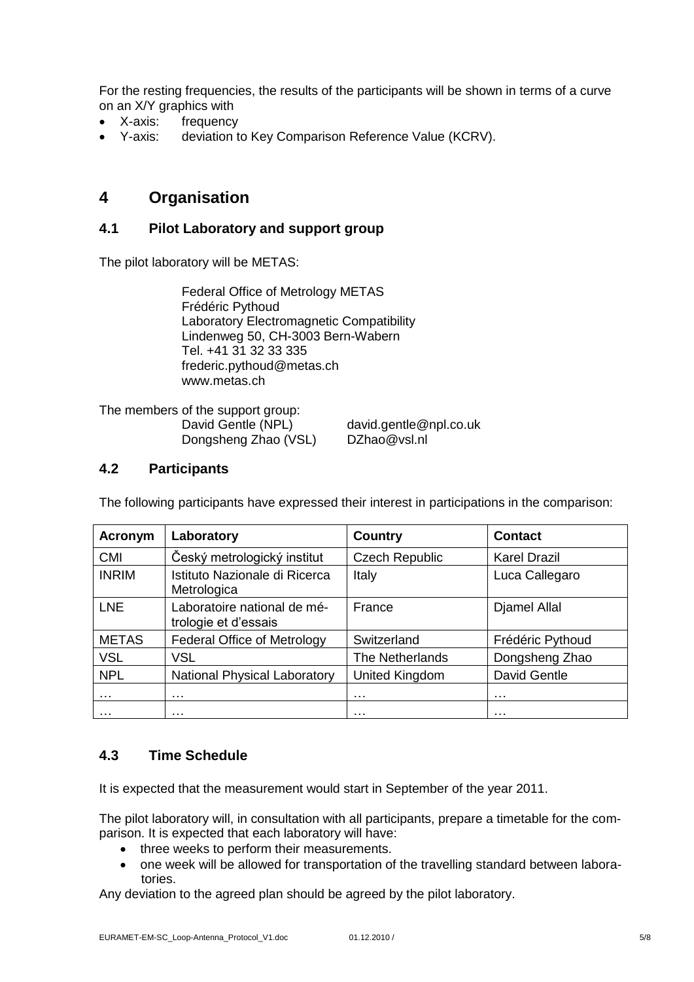For the resting frequencies, the results of the participants will be shown in terms of a curve on an X/Y graphics with

- X-axis: frequency
- Y-axis: deviation to Key Comparison Reference Value (KCRV).

## <span id="page-4-0"></span>**4 Organisation**

#### <span id="page-4-1"></span>**4.1 Pilot Laboratory and support group**

The pilot laboratory will be METAS:

Federal Office of Metrology METAS Frédéric Pythoud Laboratory Electromagnetic Compatibility Lindenweg 50, CH-3003 Bern-Wabern Tel. +41 31 32 33 335 frederic.pythoud@metas.ch www.metas.ch

The members of the support group: Dongsheng Zhao (VSL) DZhao@vsl.nl

David Gentle (NPL) david.gentle@npl.co.uk

#### <span id="page-4-2"></span>**4.2 Participants**

The following participants have expressed their interest in participations in the comparison:

| <b>Acronym</b> | Laboratory                                          | <b>Country</b>        | <b>Contact</b>      |  |
|----------------|-----------------------------------------------------|-----------------------|---------------------|--|
| <b>CMI</b>     | Český metrologický institut                         | <b>Czech Republic</b> | <b>Karel Drazil</b> |  |
| <b>INRIM</b>   | Istituto Nazionale di Ricerca<br>Metrologica        | Italy                 | Luca Callegaro      |  |
| <b>LNE</b>     | Laboratoire national de mé-<br>trologie et d'essais | France                | <b>Djamel Allal</b> |  |
| <b>METAS</b>   | <b>Federal Office of Metrology</b>                  | Switzerland           | Frédéric Pythoud    |  |
| <b>VSL</b>     | <b>VSL</b>                                          | The Netherlands       | Dongsheng Zhao      |  |
| <b>NPL</b>     | <b>National Physical Laboratory</b>                 | United Kingdom        | David Gentle        |  |
| .              | .                                                   | .                     | .                   |  |
| .              | .                                                   | $\cdots$              | $\cdots$            |  |

#### <span id="page-4-3"></span>**4.3 Time Schedule**

It is expected that the measurement would start in September of the year 2011.

The pilot laboratory will, in consultation with all participants, prepare a timetable for the comparison. It is expected that each laboratory will have:

- three weeks to perform their measurements.
- one week will be allowed for transportation of the travelling standard between laboratories.

Any deviation to the agreed plan should be agreed by the pilot laboratory.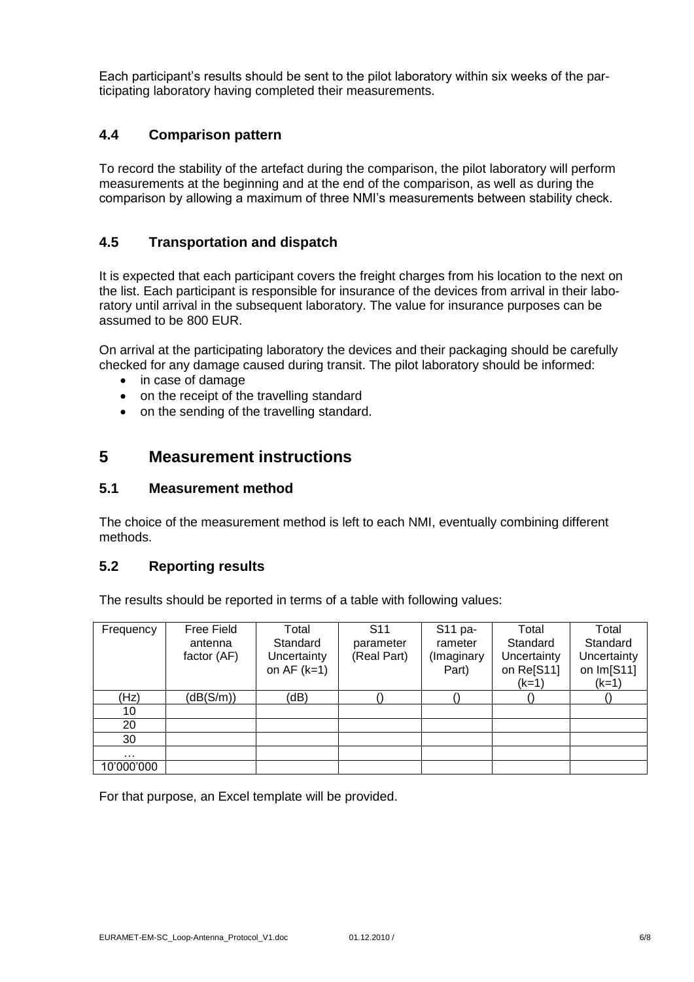Each participant's results should be sent to the pilot laboratory within six weeks of the participating laboratory having completed their measurements.

#### <span id="page-5-0"></span>**4.4 Comparison pattern**

To record the stability of the artefact during the comparison, the pilot laboratory will perform measurements at the beginning and at the end of the comparison, as well as during the comparison by allowing a maximum of three NMI's measurements between stability check.

#### <span id="page-5-1"></span>**4.5 Transportation and dispatch**

It is expected that each participant covers the freight charges from his location to the next on the list. Each participant is responsible for insurance of the devices from arrival in their laboratory until arrival in the subsequent laboratory. The value for insurance purposes can be assumed to be 800 EUR.

On arrival at the participating laboratory the devices and their packaging should be carefully checked for any damage caused during transit. The pilot laboratory should be informed:

- in case of damage
- on the receipt of the travelling standard
- on the sending of the travelling standard.

## <span id="page-5-2"></span>**5 Measurement instructions**

#### <span id="page-5-3"></span>**5.1 Measurement method**

The choice of the measurement method is left to each NMI, eventually combining different methods.

#### <span id="page-5-4"></span>**5.2 Reporting results**

The results should be reported in terms of a table with following values:

| Frequency  | Free Field<br>antenna<br>factor (AF) | Total<br>Standard<br>Uncertainty<br>on $AF$ ( $k=1$ ) | S <sub>11</sub><br>parameter<br>(Real Part) | S11 pa-<br>rameter<br>(Imaginary<br>Part) | Total<br>Standard<br>Uncertainty<br>on Re[S11]<br>$(k=1)$ | Total<br>Standard<br>Uncertainty<br>on Im[S11]<br>$(k=1)$ |
|------------|--------------------------------------|-------------------------------------------------------|---------------------------------------------|-------------------------------------------|-----------------------------------------------------------|-----------------------------------------------------------|
| (Hz)       | (dB(S/m))                            | (dB)                                                  |                                             |                                           |                                                           |                                                           |
| 10         |                                      |                                                       |                                             |                                           |                                                           |                                                           |
| 20         |                                      |                                                       |                                             |                                           |                                                           |                                                           |
| 30         |                                      |                                                       |                                             |                                           |                                                           |                                                           |
| $\cdots$   |                                      |                                                       |                                             |                                           |                                                           |                                                           |
| 10'000'000 |                                      |                                                       |                                             |                                           |                                                           |                                                           |

For that purpose, an Excel template will be provided.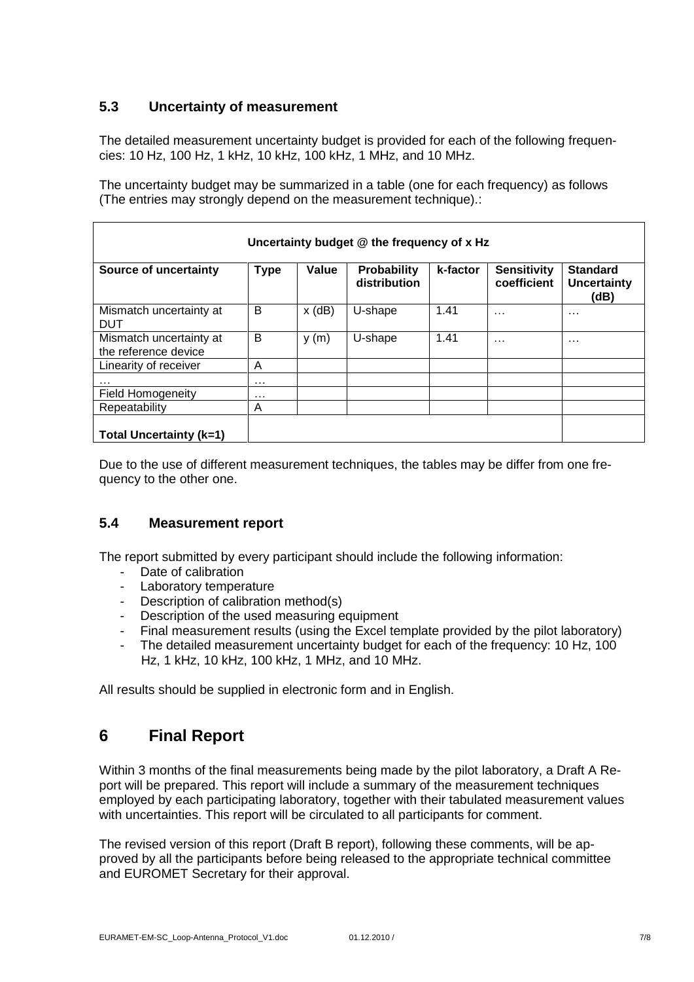## <span id="page-6-0"></span>**5.3 Uncertainty of measurement**

The detailed measurement uncertainty budget is provided for each of the following frequencies: 10 Hz, 100 Hz, 1 kHz, 10 kHz, 100 kHz, 1 MHz, and 10 MHz.

The uncertainty budget may be summarized in a table (one for each frequency) as follows (The entries may strongly depend on the measurement technique).:

| Uncertainty budget @ the frequency of x Hz      |             |          |                                    |          |                                   |                                               |  |
|-------------------------------------------------|-------------|----------|------------------------------------|----------|-----------------------------------|-----------------------------------------------|--|
| Source of uncertainty                           | <b>Type</b> | Value    | <b>Probability</b><br>distribution | k-factor | <b>Sensitivity</b><br>coefficient | <b>Standard</b><br><b>Uncertainty</b><br>(dB) |  |
| Mismatch uncertainty at<br><b>DUT</b>           | B           | $x$ (dB) | U-shape                            | 1.41     | $\cdots$                          | $\cdots$                                      |  |
| Mismatch uncertainty at<br>the reference device | B           | y(m)     | U-shape                            | 1.41     | $\cdots$                          | $\cdots$                                      |  |
| Linearity of receiver                           | A           |          |                                    |          |                                   |                                               |  |
| .                                               | $\cdots$    |          |                                    |          |                                   |                                               |  |
| <b>Field Homogeneity</b>                        | $\cdots$    |          |                                    |          |                                   |                                               |  |
| Repeatability                                   | A           |          |                                    |          |                                   |                                               |  |
| Total Uncertainty (k=1)                         |             |          |                                    |          |                                   |                                               |  |

Due to the use of different measurement techniques, the tables may be differ from one frequency to the other one.

#### <span id="page-6-1"></span>**5.4 Measurement report**

The report submitted by every participant should include the following information:

- Date of calibration
- Laboratory temperature
- Description of calibration method(s)
- Description of the used measuring equipment
- Final measurement results (using the Excel template provided by the pilot laboratory)
- The detailed measurement uncertainty budget for each of the frequency: 10 Hz, 100 Hz, 1 kHz, 10 kHz, 100 kHz, 1 MHz, and 10 MHz.

All results should be supplied in electronic form and in English.

## <span id="page-6-2"></span>**6 Final Report**

Within 3 months of the final measurements being made by the pilot laboratory, a Draft A Report will be prepared. This report will include a summary of the measurement techniques employed by each participating laboratory, together with their tabulated measurement values with uncertainties. This report will be circulated to all participants for comment.

The revised version of this report (Draft B report), following these comments, will be approved by all the participants before being released to the appropriate technical committee and EUROMET Secretary for their approval.